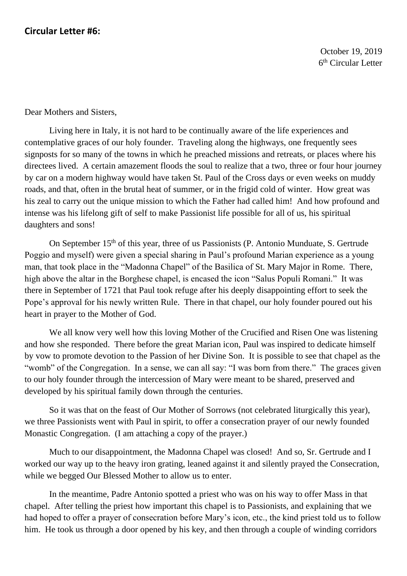Dear Mothers and Sisters,

Living here in Italy, it is not hard to be continually aware of the life experiences and contemplative graces of our holy founder. Traveling along the highways, one frequently sees signposts for so many of the towns in which he preached missions and retreats, or places where his directees lived. A certain amazement floods the soul to realize that a two, three or four hour journey by car on a modern highway would have taken St. Paul of the Cross days or even weeks on muddy roads, and that, often in the brutal heat of summer, or in the frigid cold of winter. How great was his zeal to carry out the unique mission to which the Father had called him! And how profound and intense was his lifelong gift of self to make Passionist life possible for all of us, his spiritual daughters and sons!

On September 15<sup>th</sup> of this year, three of us Passionists (P. Antonio Munduate, S. Gertrude Poggio and myself) were given a special sharing in Paul's profound Marian experience as a young man, that took place in the "Madonna Chapel" of the Basilica of St. Mary Major in Rome. There, high above the altar in the Borghese chapel, is encased the icon "Salus Populi Romani." It was there in September of 1721 that Paul took refuge after his deeply disappointing effort to seek the Pope's approval for his newly written Rule. There in that chapel, our holy founder poured out his heart in prayer to the Mother of God.

We all know very well how this loving Mother of the Crucified and Risen One was listening and how she responded. There before the great Marian icon, Paul was inspired to dedicate himself by vow to promote devotion to the Passion of her Divine Son. It is possible to see that chapel as the "womb" of the Congregation. In a sense, we can all say: "I was born from there." The graces given to our holy founder through the intercession of Mary were meant to be shared, preserved and developed by his spiritual family down through the centuries.

So it was that on the feast of Our Mother of Sorrows (not celebrated liturgically this year), we three Passionists went with Paul in spirit, to offer a consecration prayer of our newly founded Monastic Congregation. (I am attaching a copy of the prayer.)

Much to our disappointment, the Madonna Chapel was closed! And so, Sr. Gertrude and I worked our way up to the heavy iron grating, leaned against it and silently prayed the Consecration, while we begged Our Blessed Mother to allow us to enter.

In the meantime, Padre Antonio spotted a priest who was on his way to offer Mass in that chapel. After telling the priest how important this chapel is to Passionists, and explaining that we had hoped to offer a prayer of consecration before Mary's icon, etc., the kind priest told us to follow him. He took us through a door opened by his key, and then through a couple of winding corridors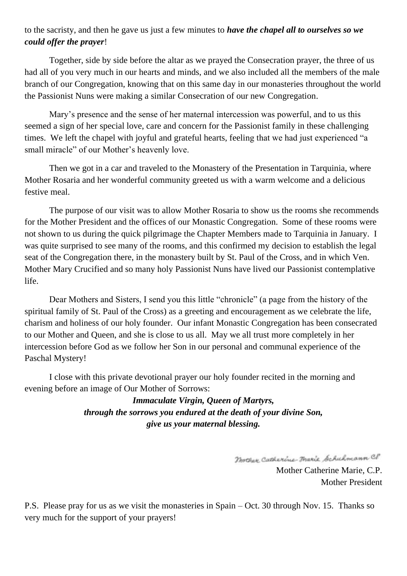## to the sacristy, and then he gave us just a few minutes to *have the chapel all to ourselves so we could offer the prayer*!

Together, side by side before the altar as we prayed the Consecration prayer, the three of us had all of you very much in our hearts and minds, and we also included all the members of the male branch of our Congregation, knowing that on this same day in our monasteries throughout the world the Passionist Nuns were making a similar Consecration of our new Congregation.

Mary's presence and the sense of her maternal intercession was powerful, and to us this seemed a sign of her special love, care and concern for the Passionist family in these challenging times. We left the chapel with joyful and grateful hearts, feeling that we had just experienced "a small miracle" of our Mother's heavenly love.

Then we got in a car and traveled to the Monastery of the Presentation in Tarquinia, where Mother Rosaria and her wonderful community greeted us with a warm welcome and a delicious festive meal.

The purpose of our visit was to allow Mother Rosaria to show us the rooms she recommends for the Mother President and the offices of our Monastic Congregation. Some of these rooms were not shown to us during the quick pilgrimage the Chapter Members made to Tarquinia in January. I was quite surprised to see many of the rooms, and this confirmed my decision to establish the legal seat of the Congregation there, in the monastery built by St. Paul of the Cross, and in which Ven. Mother Mary Crucified and so many holy Passionist Nuns have lived our Passionist contemplative life.

Dear Mothers and Sisters, I send you this little "chronicle" (a page from the history of the spiritual family of St. Paul of the Cross) as a greeting and encouragement as we celebrate the life, charism and holiness of our holy founder. Our infant Monastic Congregation has been consecrated to our Mother and Queen, and she is close to us all. May we all trust more completely in her intercession before God as we follow her Son in our personal and communal experience of the Paschal Mystery!

I close with this private devotional prayer our holy founder recited in the morning and evening before an image of Our Mother of Sorrows:

> *Immaculate Virgin, Queen of Martyrs, through the sorrows you endured at the death of your divine Son, give us your maternal blessing.*

> > Mother Catherine-Tharie Schuhmann CP

Mother Catherine Marie, C.P. Mother President

P.S. Please pray for us as we visit the monasteries in Spain – Oct. 30 through Nov. 15. Thanks so very much for the support of your prayers!